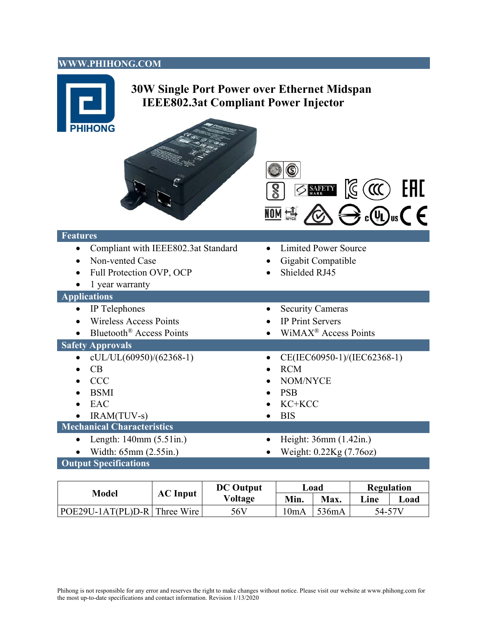#### **WWW.PHIHONG.COM**



| Model                            | <b>AC</b> Input | <b>DC</b> Output<br>Voltage | Load |       | <b>Regulation</b> |      |
|----------------------------------|-----------------|-----------------------------|------|-------|-------------------|------|
|                                  |                 |                             | Min. | Max.  | Line              | Load |
| $ POE29U-1AT(PL)D-R $ Three Wire |                 | 56V                         | !0mA | 536mA | 54-57V            |      |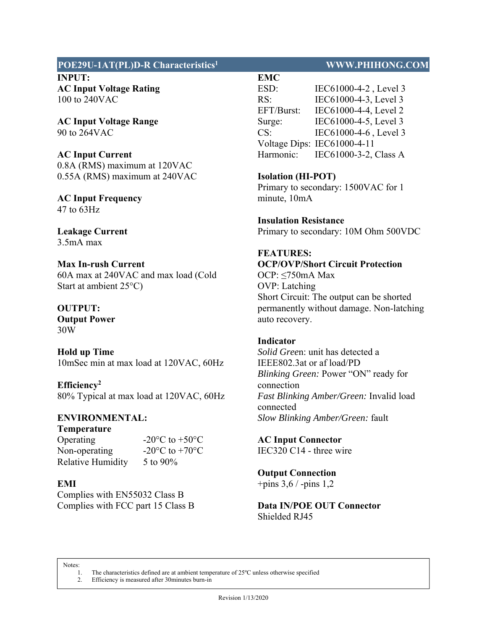## **POE29U-1AT(PL)D-R Characteristics1 WWW.PHIHONG.COM**

**INPUT: AC Input Voltage Rating**  100 to 240VAC

**AC Input Voltage Range**  90 to 264VAC

**AC Input Current** 

0.8A (RMS) maximum at 120VAC 0.55A (RMS) maximum at 240VAC

**AC Input Frequency**  47 to 63Hz

**Leakage Current**  3.5mA max

**Max In-rush Current**  60A max at 240VAC and max load (Cold Start at ambient 25°C)

**OUTPUT: Output Power**  30W

**Hold up Time**  10mSec min at max load at 120VAC, 60Hz

**Efficiency2**  80% Typical at max load at 120VAC, 60Hz

# **ENVIRONMENTAL:**

**Temperature** 

Non-operating  $-20\degree C$  to  $+70\degree C$ Relative Humidity 5 to 90%

Operating  $-20\degree C$  to  $+50\degree C$ 

# **EMI**

Complies with EN55032 Class B Complies with FCC part 15 Class B

**EMC**  ESD: IEC61000-4-2 , Level 3 RS: IEC61000-4-3, Level 3 EFT/Burst: IEC61000-4-4, Level 2 Surge: IEC61000-4-5, Level 3 CS: IEC61000-4-6 , Level 3 Voltage Dips: IEC61000-4-11 Harmonic: IEC61000-3-2, Class A

## **Isolation (HI-POT)**

Primary to secondary: 1500VAC for 1 minute, 10mA

**Insulation Resistance**  Primary to secondary: 10M Ohm 500VDC

# **FEATURES:**

# **OCP/OVP/Short Circuit Protection**

OCP: ≤750mA Max OVP: Latching Short Circuit: The output can be shorted permanently without damage. Non-latching auto recovery.

#### **Indicator**

*Solid Gree*n: unit has detected a IEEE802.3at or af load/PD *Blinking Green:* Power "ON" ready for connection *Fast Blinking Amber/Green:* Invalid load connected *Slow Blinking Amber/Green:* fault

**AC Input Connector**  IEC320 C14 - three wire

# **Output Connection**

+pins 3,6 / -pins 1,2

## **Data IN/POE OUT Connector**  Shielded RJ45

Notes:<br>1.

The characteristics defined are at ambient temperature of 25°C unless otherwise specified 2. Efficiency is measured after 30minutes burn-in

Revision 1/13/2020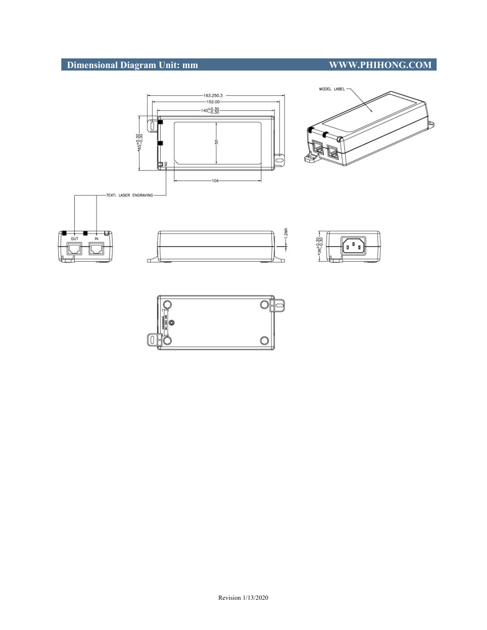# **Dimensional Diagram Unit: mm WWW.PHIHONG.COM**